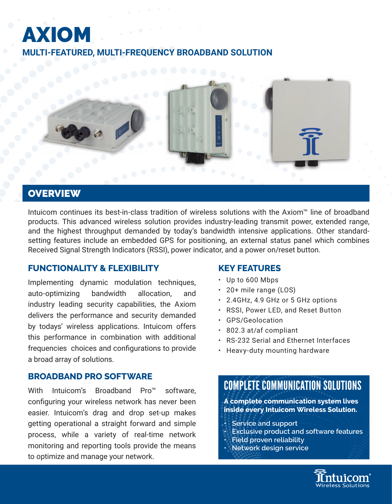# AXIOM **MULTI-FEATURED, MULTI-FREQUENCY BROADBAND SOLUTION**



## **OVERVIEW**

Intuicom continues its best-in-class tradition of wireless solutions with the Axiom™ line of broadband products. This advanced wireless solution provides industry-leading transmit power, extended range, and the highest throughput demanded by today's bandwidth intensive applications. Other standardsetting features include an embedded GPS for positioning, an external status panel which combines Received Signal Strength Indicators (RSSI), power indicator, and a power on/reset button.

## **FUNCTIONALITY & FLEXIBILITY**

Implementing dynamic modulation techniques, auto-optimizing bandwidth allocation, and industry leading security capabilities, the Axiom delivers the performance and security demanded by todays' wireless applications. Intuicom offers this performance in combination with additional frequencies choices and configurations to provide a broad array of solutions.

## **BROADBAND PRO SOFTWARE**

With Intuicom's Broadband Pro™ software, configuring your wireless network has never been easier. Intuicom's drag and drop set-up makes getting operational a straight forward and simple process, while a variety of real-time network monitoring and reporting tools provide the means to optimize and manage your network.

## **KEY FEATURES**

- Up to 600 Mbps
- 20+ mile range (LOS)
- 2.4GHz, 4.9 GHz or 5 GHz options
- RSSI, Power LED, and Reset Button
- GPS/Geolocation
- 802.3 at/af compliant
- RS-232 Serial and Ethernet Interfaces
- Heavy-duty mounting hardware

## COMPLETE COMMUNICATION SOLUTIONS

**A complete communication system lives inside every Intuicom Wireless Solution.**

- **Service and support**
- **Exclusive product and software features**
- **Field proven reliability**
- **Network design service**